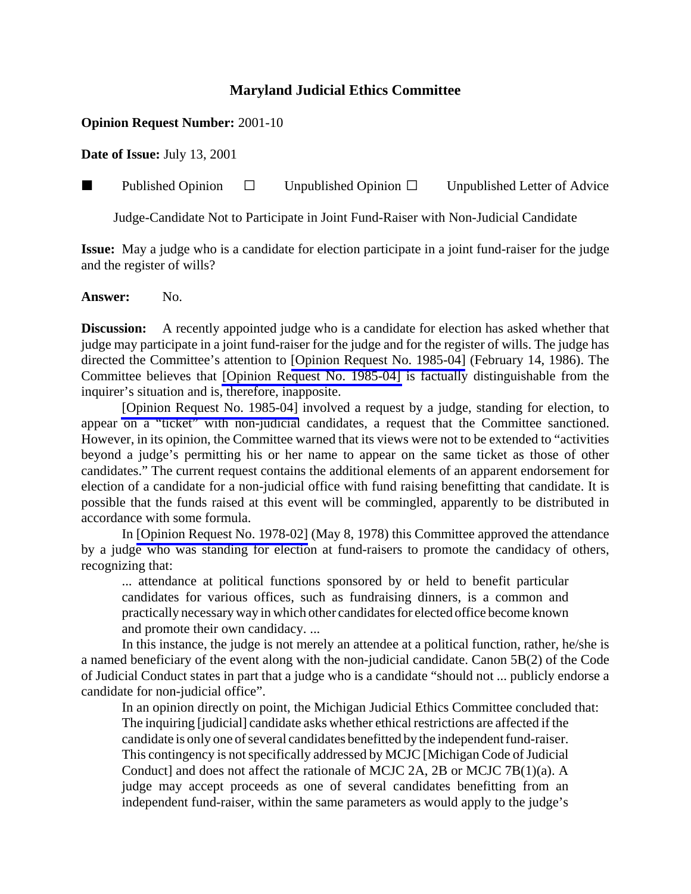## **Maryland Judicial Ethics Committee**

## **Opinion Request Number:** 2001-10

**Date of Issue:** July 13, 2001

**Published Opinion**  $\Box$  Unpublished Opinion  $\Box$  Unpublished Letter of Advice

Judge-Candidate Not to Participate in Joint Fund-Raiser with Non-Judicial Candidate

**Issue:** May a judge who is a candidate for election participate in a joint fund-raiser for the judge and the register of wills?

Answer: No.

**Discussion:** A recently appointed judge who is a candidate for election has asked whether that judge may participate in a joint fund-raiser for the judge and for the register of wills. The judge has directed the Committee's attention to [\[Opinion Request No. 1985-04\]](http://www.mdcourts.gov/ethics/pdfs/1985-04.pdf) (February 14, 1986). The Committee believes that [\[Opinion Request No. 1985-04\]](http://www.mdcourts.gov/ethics/pdfs/1985-04.pdf) is factually distinguishable from the inquirer's situation and is, therefore, inapposite.

[\[Opinion Request No. 1985-04\]](http://www.mdcourts.gov/ethics/pdfs/1985-04.pdf) involved a request by a judge, standing for election, to appear on a "ticket" with non-judicial candidates, a request that the Committee sanctioned. However, in its opinion, the Committee warned that its views were not to be extended to "activities beyond a judge's permitting his or her name to appear on the same ticket as those of other candidates." The current request contains the additional elements of an apparent endorsement for election of a candidate for a non-judicial office with fund raising benefitting that candidate. It is possible that the funds raised at this event will be commingled, apparently to be distributed in accordance with some formula.

In [\[Opinion Request No. 1978-02\]](http://www.mdcourts.gov/ethics/pdfs/1978-02.pdf) (May 8, 1978) this Committee approved the attendance by a judge who was standing for election at fund-raisers to promote the candidacy of others, recognizing that:

... attendance at political functions sponsored by or held to benefit particular candidates for various offices, such as fundraising dinners, is a common and practically necessary way in which other candidates for elected office become known and promote their own candidacy. ...

In this instance, the judge is not merely an attendee at a political function, rather, he/she is a named beneficiary of the event along with the non-judicial candidate. Canon 5B(2) of the Code of Judicial Conduct states in part that a judge who is a candidate "should not ... publicly endorse a candidate for non-judicial office".

In an opinion directly on point, the Michigan Judicial Ethics Committee concluded that: The inquiring [judicial] candidate asks whether ethical restrictions are affected if the candidate is only one of several candidates benefitted by the independent fund-raiser. This contingency is not specifically addressed by MCJC [Michigan Code of Judicial Conduct] and does not affect the rationale of MCJC 2A, 2B or MCJC 7B(1)(a). A judge may accept proceeds as one of several candidates benefitting from an independent fund-raiser, within the same parameters as would apply to the judge's